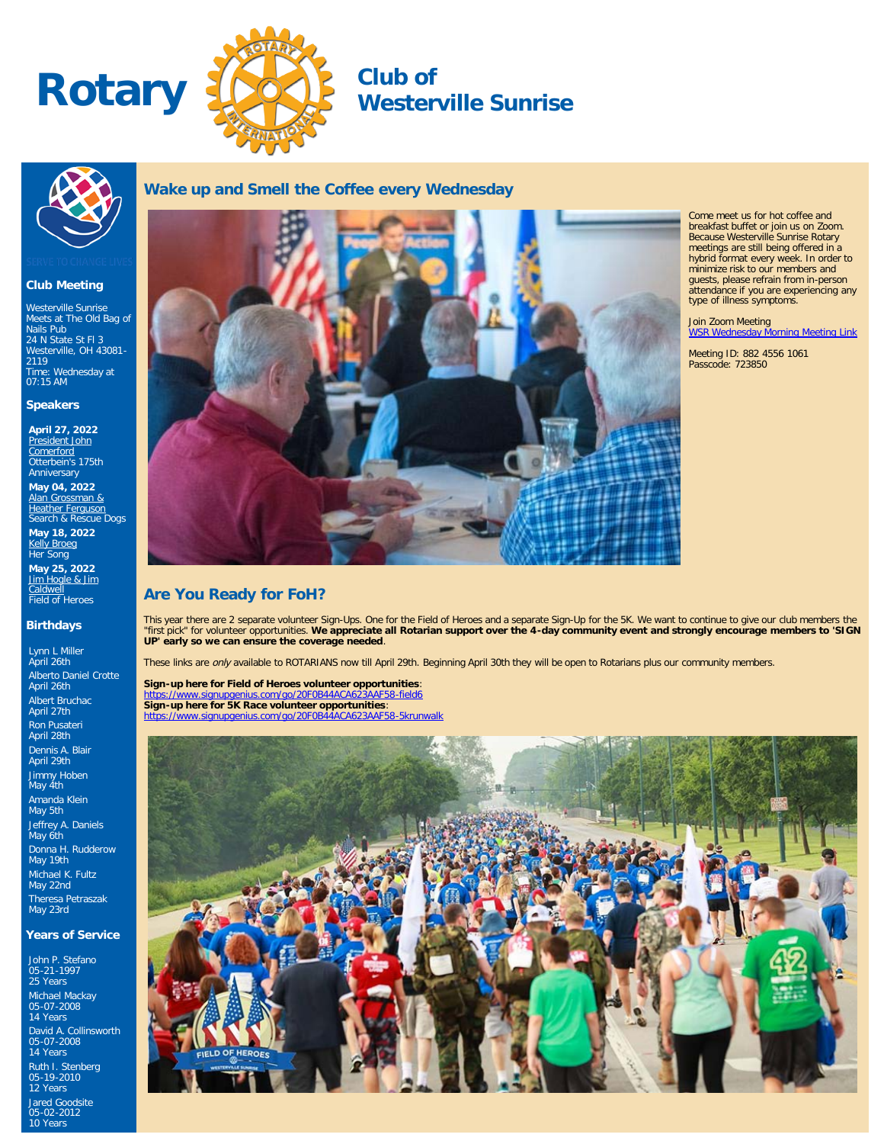



**Wake up and Smell the Coffee every Wednesday**

# **Westerville Sunrise**



#### **Club Meeting**

Westerville Sunrise Meets at The Old Bag of Nails Pub [24 N State St Fl 3](http://maps.google.com/maps?q=40.126520000,-82.931820000) [Westerville, OH 43081-](http://maps.google.com/maps?q=40.126520000,-82.931820000) [2119](http://maps.google.com/maps?q=40.126520000,-82.931820000) Time: Wednesday at 07:15 AM

#### **Speakers**

**April 27, 2022** [President John](https://ismyrotaryclub.com/wp_api_prod_1-1/R_Event.cfm?fixTables=0&fixImages=0&EventID=77585228) [Comerford](https://ismyrotaryclub.com/wp_api_prod_1-1/R_Event.cfm?fixTables=0&fixImages=0&EventID=77585228) Otterbein's 175th **Anniversary** 

**May 04, 2022** [Alan Grossman &](https://ismyrotaryclub.com/wp_api_prod_1-1/R_Event.cfm?fixTables=0&fixImages=0&EventID=77585229) [Heather Ferguson](https://ismyrotaryclub.com/wp_api_prod_1-1/R_Event.cfm?fixTables=0&fixImages=0&EventID=77585229) Search & Rescue Dogs **May 18, 2022**

<u>[Kelly Broeg](https://ismyrotaryclub.com/wp_api_prod_1-1/R_Event.cfm?fixTables=0&fixImages=0&EventID=77585231)</u><br>Her Song **May 25, 2022** [Jim Hogle & Jim](https://ismyrotaryclub.com/wp_api_prod_1-1/R_Event.cfm?fixTables=0&fixImages=0&EventID=77585232)

<u>[Caldwell](https://ismyrotaryclub.com/wp_api_prod_1-1/R_Event.cfm?fixTables=0&fixImages=0&EventID=77585232)</u><br>Field of Heroes

#### **Birthdays**

Lynn L Miller April 26th Alberto Daniel Crotte April 26th Albert Bruchac April 27th Ron Pusateri April 28th Dennis A. Blair April 29th Jimmy Hoben May 4th Amanda Klein May 5th Jeffrey A. Daniels May 6th Donna H. Rudderow May 19th Michael K. Fultz May 22nd Theresa Petraszak May 23rd

#### **Years of Service**

John P. Stefano 05-21-1997 25 Years Michael Mackay 05-07-2008 14 Years David A. Collinsworth 05-07-2008 14 Years Ruth I. Stenberg 05-19-2010 12 Years Jared Goodsite 05-02-2012 10 Years



Come meet us for hot coffee and breakfast buffet or join us on Zoom. Because Westerville Sunrise Rotary meetings are still being offered in a hybrid format every week. In order to minimize risk to our members and guests, please refrain from in-person attendance if you are experiencing any type of illness symptoms.

# Join Zoom Meeting<br><u>[WSR Wednesday Morning Meeting Link](https://us02web.zoom.us/j/88245561061?pwd=aFdBczRGVE1yVng5dVNMMTJBOG0zdz09)</u>

Meeting ID: 882 4556 1061 Passcode: 723850

## **Are You Ready for FoH?**

This year there are 2 separate volunteer Sign-Ups. One for the Field of Heroes and a separate Sign-Up for the 5K. We want to continue to give our club members the<br>"first pick" for volunteer opportunities. **We appreciate al UP' early so we can ensure the coverage needed**.

These links are only available to ROTARIANS now till April 29th. Beginning April 30th they will be open to Rotarians plus our community members.

**Sign-up here for Field of Heroes volunteer opportunities**: <https://www.signupgenius.com/go/20F0B44ACA623AAF58-field6> **Sign-up here for 5K Race volunteer opportunities**: <https://www.signupgenius.com/go/20F0B44ACA623AAF58-5krunwalk>

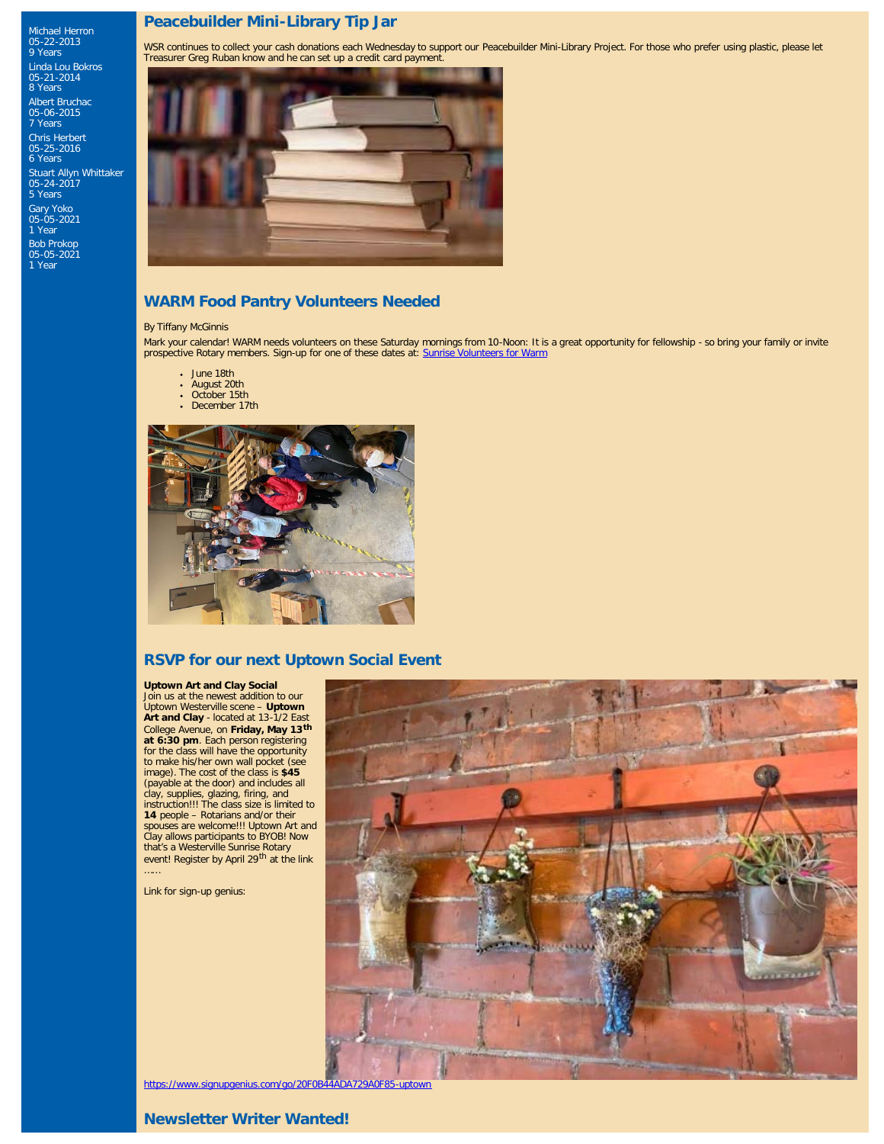## **Peacebuilder Mini-Library Tip Jar**

WSR continues to collect your cash donations each Wednesday to support our Peacebuilder Mini-Library Project. For those who prefer using plastic, please let Treasurer Greg Ruban know and he can set up a credit card payment.



# **WARM Food Pantry Volunteers Needed**

#### By Tiffany McGinnis

Michael Herron 05-22-2013 9 Years Linda Lou Bokros 05-21-2014 8 Years Albert Bruchac 05-06-2015 7 Years Chris Herbert 05-25-2016 6 Years

Stuart Allyn Whittaker 05-24-2017

5 Years Gary Yoko 05-05-2021 1 Year

Bob Prokop 05-05-2021 1 Year

> Mark your calendar! WARM needs volunteers on these Saturday mornings from 10-Noon: It is a great opportunity for fellowship - so bring your family or invite prospective Rotary members. Sign-up for one of these dates at: [Sunrise Volunteers for Warm](https://www.signupgenius.com/go/20f0b44ada729a0f85-warm1)

- June 18th
- August 20th
- October 15th December 17th



### **RSVP for our next Uptown Social Event**

#### **Uptown Art and Clay Social**

Join us at the newest addition to our Uptown Westerville scene – **Uptown Art and Clay** - located at 13-1/2 East College Avenue, on **Friday, May 13th at 6:30 pm**. Each person registering for the class will have the opportunity to make his/her own wall pocket (see image). The cost of the class is **\$45** (payable at the door) and includes all clay, supplies, glazing, firing, and instruction!!! The class size is limited to **14** people – Rotarians and/or their<br>spouses are welcome!!! Uptown Art and<br>Clay allows participants to BYOB! Now<br>that's a Westerville Sunrise Rotary event! Register by April 29<sup>th</sup> at the link<br>……

Link for sign-up genius:



<https://www.signupgenius.com/go/20F0B44ADA729A0F85-uptown>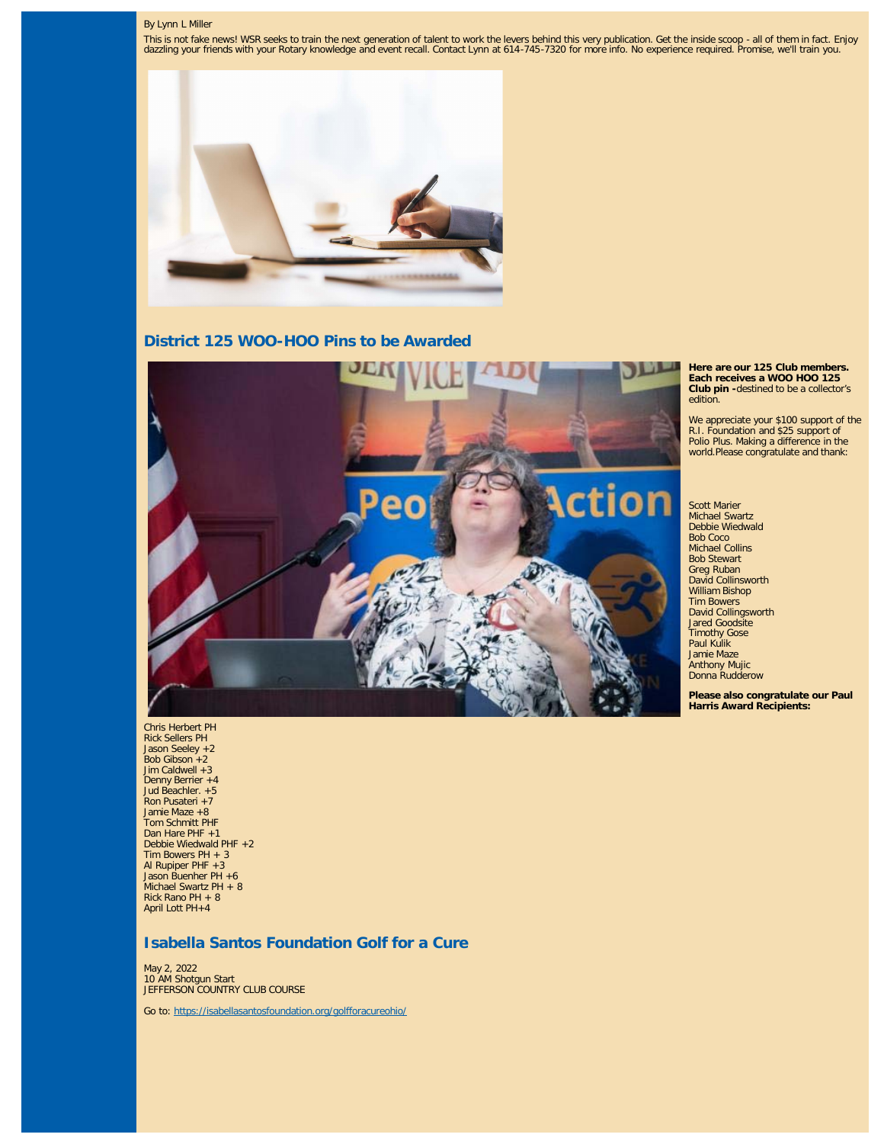#### By Lynn L Miller

This is not fake news! WSR seeks to train the next generation of talent to work the levers behind this very publication. Get the inside scoop - all of them in fact. Enjoy<br>dazzling your friends with your Rotary knowledge an



**District 125 WOO-HOO Pins to be Awarded**



**Here are our 125 Club members. Each receives a WOO HOO 125 Club pin -**destined to be a collector's edition.

We appreciate your \$100 support of the R.I. Foundation and \$25 support of Polio Plus. Making a difference in the world.Please congratulate and thank:

Scott Marier Michael Swartz Debbie Wiedwald Bob Coco Michael Collins Bob Stewart Greg Ruban David Collinsworth William Bishop Tim Bowers David Collingsworth Jared Goodsite Timothy Gose Paul Kulik Jamie Maze Anthony Mujic Donna Rudderow

**Please also congratulate our Paul Harris Award Recipients:**

Chris Herbert PH Rick Sellers PH Jason Seeley +2 Bob Gibson +2 Jim Caldwell +3 Denny Berrier +4 Jud Beachler. +5 Ron Pusateri +7 Jamie Maze +8 Tom Schmitt PHF Dan Hare PHF +1 Debbie Wiedwald PHF +2 Tim Bowers PH + 3 Al Rupiper PHF +3 Jason Buenher PH +6 Michael Swartz PH + 8 Rick Rano PH + 8 April Lott PH+4

### **Isabella Santos Foundation Golf for a Cure**

May 2, 2022 10 AM Shotgun Start JEFFERSON COUNTRY CLUB COURSE

Go to:<https://isabellasantosfoundation.org/golfforacureohio/>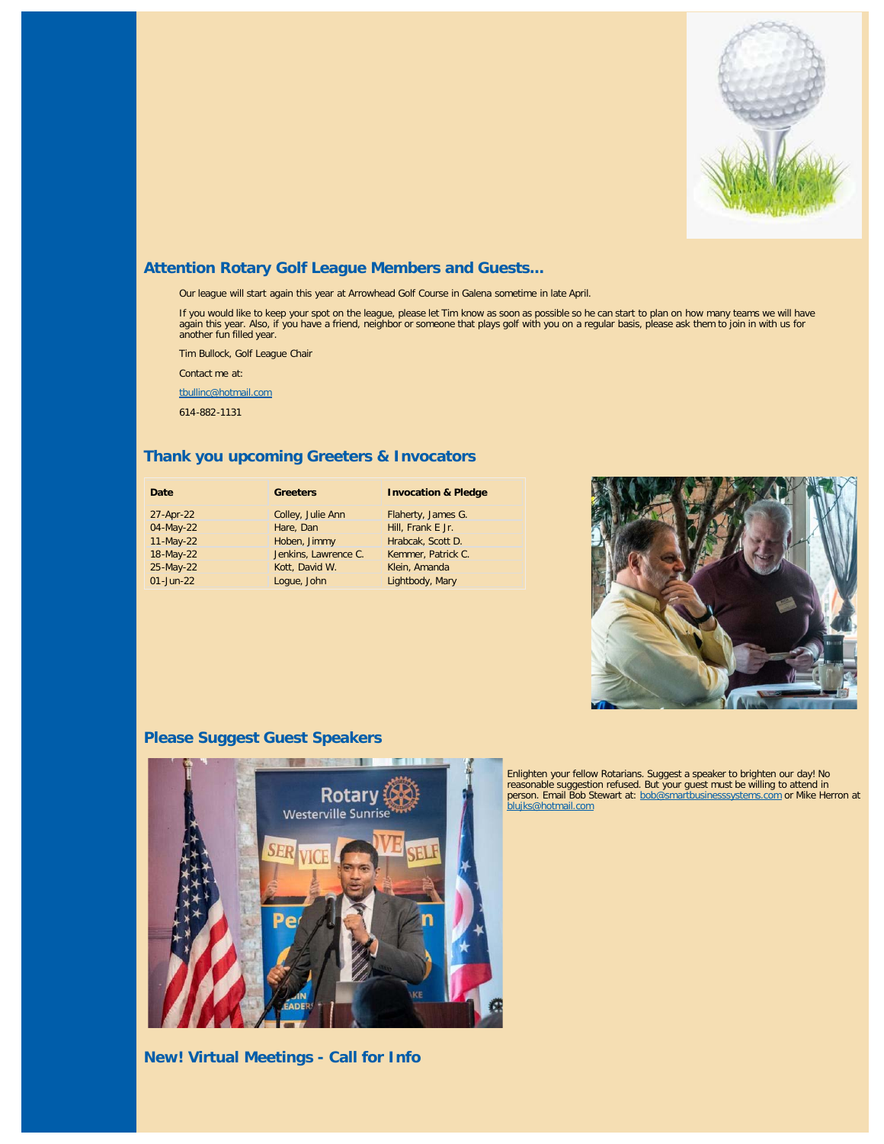

# **Attention Rotary Golf League Members and Guests...**

Our league will start again this year at Arrowhead Golf Course in Galena sometime in late April.

If you would like to keep your spot on the league, please let Tim know as soon as possible so he can start to plan on how many teams we will have again this year. Also, if you have a friend, neighbor or someone that plays golf with you on a regular basis, please ask them to join in with us for another fun filled year.

Tim Bullock, Golf League Chair

Contact me at:

[tbullinc@hotmail.com](https://mail.google.com/mail/?view=cm&fs=1&tf=1&to=tbullinc@hotmail.com)

614-882-1131

## **Thank you upcoming Greeters & Invocators**

| Date         | <b>Greeters</b>      | <b>Invocation &amp; Pledge</b> |
|--------------|----------------------|--------------------------------|
| 27-Apr-22    | Colley, Julie Ann    | Flaherty, James G.             |
| 04-May-22    | Hare, Dan            | Hill, Frank E Jr.              |
| 11-May-22    | Hoben, Jimmy         | Hrabcak, Scott D.              |
| 18-May-22    | Jenkins, Lawrence C. | Kemmer, Patrick C.             |
| 25-May-22    | Kott, David W.       | Klein, Amanda                  |
| $01$ -Jun-22 | Logue, John          | Lightbody, Mary                |



# **Please Suggest Guest Speakers**



**New! Virtual Meetings - Call for Info**

Enlighten your fellow Rotarians. Suggest a speaker to brighten our day! No<br>reasonable suggestion refused. But your guest must be willing to attend in<br>person. Email Bob Stewart at: <u>bob@smartbusinesssystems.com</u> or Mike Her [blujks@hotmail.com](https://mail.google.com/mail/?view=cm&fs=1&tf=1&to=blujks@hotmail.com)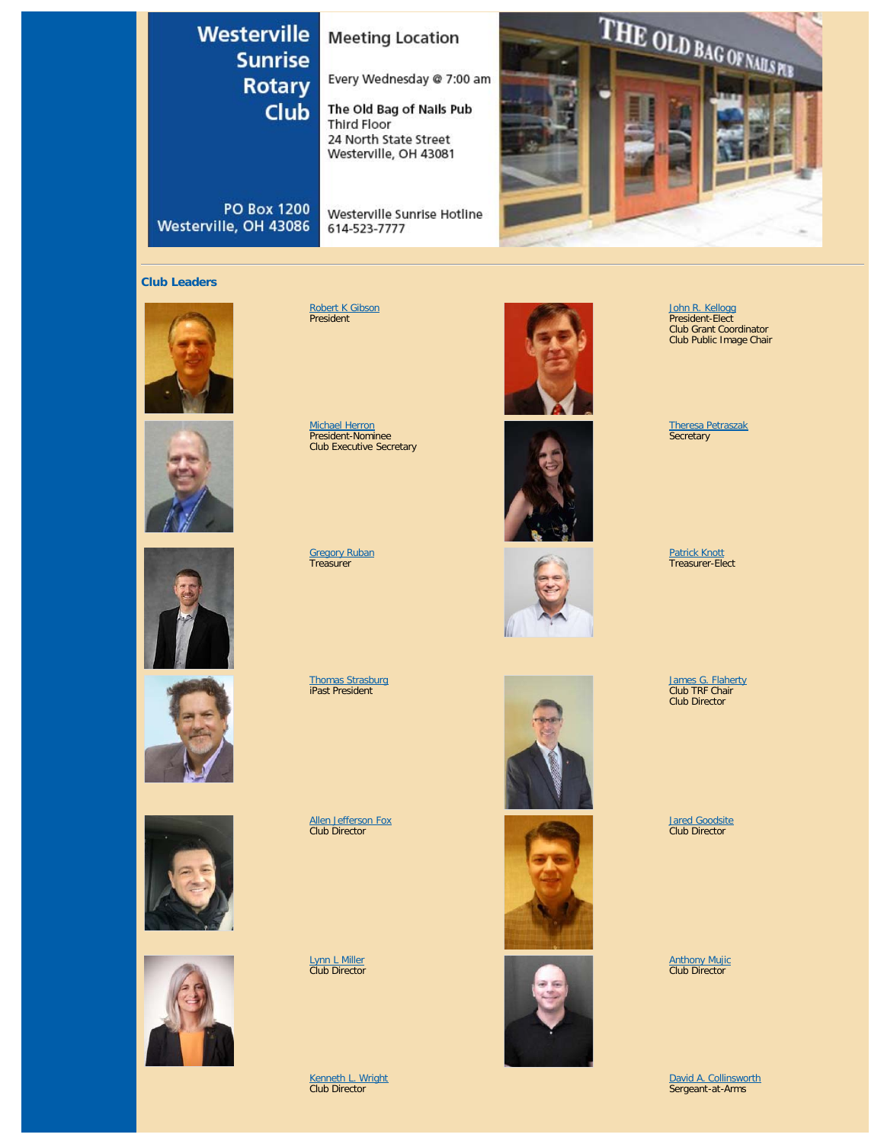# Westerville **Sunrise Rotary** Club

# **Meeting Location**

Every Wednesday @ 7:00 am

The Old Bag of Nails Pub **Third Floor** 24 North State Street Westerville, OH 43081

**PO Box 1200** Westerville, OH 43086

Westerville Sunrise Hotline 614-523-7777



#### **Club Leaders**











<u>[Robert K Gibson](https://www.ismyrotaryclub.org/EMailer.cfm?ID=800286578)</u><br>President

<u>[Michael Herron](https://www.ismyrotaryclub.org/EMailer.cfm?ID=800353675)</u><br>President-Nominee<br>Club Executive Secretary

[Gregory Ruban](https://www.ismyrotaryclub.org/EMailer.cfm?ID=800685848) Treasurer

[Thomas Strasburg](https://www.ismyrotaryclub.org/EMailer.cfm?ID=800257944) iPast President

[Allen Jefferson Fox](https://www.ismyrotaryclub.org/EMailer.cfm?ID=800513700) Club Director

[Lynn L Miller](https://www.ismyrotaryclub.org/EMailer.cfm?ID=800674440) Club Director

[Kenneth L. Wright](https://www.ismyrotaryclub.org/EMailer.cfm?ID=800670731) Club Director





[John R. Kellogg](https://www.ismyrotaryclub.org/EMailer.cfm?ID=800415917) President-Elect Club Grant Coordinator Club Public Image Chair

[Theresa Petraszak](https://www.ismyrotaryclub.org/EMailer.cfm?ID=800751205) Secretary

<u>[Patrick Knott](https://www.ismyrotaryclub.org/EMailer.cfm?ID=800122618)</u><br>Treasurer-Elect

<u>[James G. Flaherty](https://www.ismyrotaryclub.org/EMailer.cfm?ID=800122622)</u><br>Club TRF Chair Club Director

<u>[Jared Goodsite](https://www.ismyrotaryclub.org/EMailer.cfm?ID=800300254)</u><br>Club Director

[Anthony Mujic](https://www.ismyrotaryclub.org/EMailer.cfm?ID=800622712) Club Director

[David A. Collinsworth](https://www.ismyrotaryclub.org/EMailer.cfm?ID=800122599) Sergeant-at-Arms